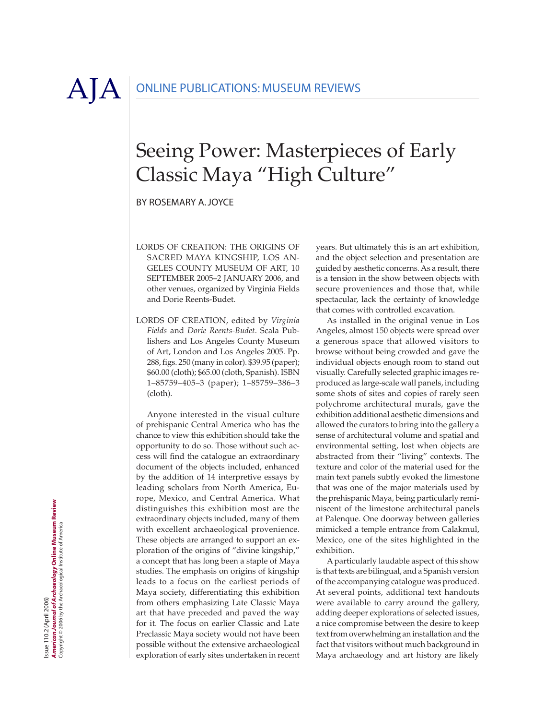$A|A|$  ONLINE PUBLICATIONS: MUSEUM REVIEWS

## Seeing Power: Masterpieces of Early Classic Maya "High Culture"

By ROSEMARY A. JOYCE

- LORDS OF CREATION: THE ORIGINS OF SACRED MAYA KINGSHIP, LOS AN-GELES COUNTY MUSEUM OF ART, 10 SEPTEMBER 2005–2 JANUARY 2006, and other venues, organized by Virginia Fields and Dorie Reents-Budet.
- LORDS OF CREATION, edited by *Virginia Fields* and *Dorie Reents-Budet*. Scala Publishers and Los Angeles County Museum of Art, London and Los Angeles 2005. Pp. 288, figs. 250 (many in color). \$39.95 (paper); \$60.00 (cloth); \$65.00 (cloth, Spanish). ISBN 1–85759–405–3 (paper); 1–85759–386–3 (cloth).

Anyone interested in the visual culture of prehispanic Central America who has the chance to view this exhibition should take the opportunity to do so. Those without such access will find the catalogue an extraordinary document of the objects included, enhanced by the addition of 14 interpretive essays by leading scholars from North America, Europe, Mexico, and Central America. What distinguishes this exhibition most are the extraordinary objects included, many of them with excellent archaeological provenience. These objects are arranged to support an exploration of the origins of "divine kingship," a concept that has long been a staple of Maya studies. The emphasis on origins of kingship leads to a focus on the earliest periods of Maya society, differentiating this exhibition from others emphasizing Late Classic Maya art that have preceded and paved the way for it. The focus on earlier Classic and Late Preclassic Maya society would not have been possible without the extensive archaeological exploration of early sites undertaken in recent

years. But ultimately this is an art exhibition, and the object selection and presentation are guided by aesthetic concerns. As a result, there is a tension in the show between objects with secure proveniences and those that, while spectacular, lack the certainty of knowledge that comes with controlled excavation.

As installed in the original venue in Los Angeles, almost 150 objects were spread over a generous space that allowed visitors to browse without being crowded and gave the individual objects enough room to stand out visually. Carefully selected graphic images reproduced as large-scale wall panels, including some shots of sites and copies of rarely seen polychrome architectural murals, gave the exhibition additional aesthetic dimensions and allowed the curators to bring into the gallery a sense of architectural volume and spatial and environmental setting, lost when objects are abstracted from their "living" contexts. The texture and color of the material used for the main text panels subtly evoked the limestone that was one of the major materials used by the prehispanic Maya, being particularly reminiscent of the limestone architectural panels at Palenque. One doorway between galleries mimicked a temple entrance from Calakmul, Mexico, one of the sites highlighted in the exhibition.

A particularly laudable aspect of this show is that texts are bilingual, and a Spanish version of the accompanying catalogue was produced. At several points, additional text handouts were available to carry around the gallery, adding deeper explorations of selected issues, a nice compromise between the desire to keep text from overwhelming an installation and the fact that visitors without much background in Maya archaeology and art history are likely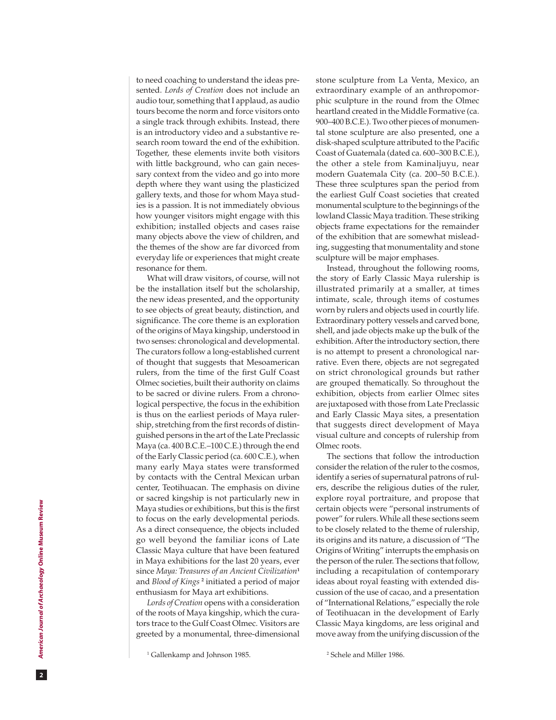to need coaching to understand the ideas pre sented. *Lords of Creation* does not include an audio tour, something that I applaud, as audio tours become the norm and force visitors onto a single track through exhibits. Instead, there is an introductory video and a substantive re search room toward the end of the exhibition. Together, these elements invite both visitors with little background, who can gain neces sary context from the video and go into more depth where they want using the plasticized gallery texts, and those for whom Maya stud ies is a passion. It is not immediately obvious how younger visitors might engage with this exhibition; installed objects and cases raise many objects above the view of children, and the themes of the show are far divorced from everyday life or experiences that might create resonance for them.

What will draw visitors, of course, will not be the installation itself but the scholarship, the new ideas presented, and the opportunity to see objects of great beauty, distinction, and significance. The core theme is an exploration of the origins of Maya kingship, understood in two senses: chronological and developmental. The curators follow a long-established current of thought that suggests that Mesoamerican rulers, from the time of the first Gulf Coast Olmec societies, built their authority on claims to be sacred or divine rulers. From a chrono logical perspective, the focus in the exhibition is thus on the earliest periods of Maya ruler ship, stretching from the first records of distin guished persons in the art of the Late Preclassic Maya (ca. 400 B.C.E.–100 C.E.) through the end of the Early Classic period (ca. 600 C.E.), when many early Maya states were transformed by contacts with the Central Mexican urban center, Teotihuacan. The emphasis on divine or sacred kingship is not particularly new in Maya studies or exhibitions, but this is the first to focus on the early developmental periods. As a direct consequence, the objects included go well beyond the familiar icons of Late Classic Maya culture that have been featured in Maya exhibitions for the last 20 years, ever since *Maya: Treasures of an Ancient Civilization* **1** and *Blood of Kings* **2** initiated a period of major enthusiasm for Maya art exhibitions.

*Lords of Creation* opens with a consideration of the roots of Maya kingship, which the cura tors trace to the Gulf Coast Olmec. Visitors are greeted by a monumental, three-dimensional

stone sculpture from La Venta, Mexico, an extraordinary example of an anthropomor phic sculpture in the round from the Olmec heartland created in the Middle Formative (ca. 900–400 B.C.E.). Two other pieces of monumen tal stone sculpture are also presented, one a disk-shaped sculpture attributed to the Pacific Coast of Guatemala (dated ca. 600–300 B.C.E.), the other a stele from Kaminaljuyu, near modern Guatemala City (ca. 200–50 B.C.E.). These three sculptures span the period from the earliest Gulf Coast societies that created monumental sculpture to the beginnings of the lowland Classic Maya tradition. These striking objects frame expectations for the remainder of the exhibition that are somewhat mislead ing, suggesting that monumentality and stone sculpture will be major emphases.

Instead, throughout the following rooms, the story of Early Classic Maya rulership is illustrated primarily at a smaller, at times intimate, scale, through items of costumes worn by rulers and objects used in courtly life. Extraordinary pottery vessels and carved bone, shell, and jade objects make up the bulk of the exhibition. After the introductory section, there is no attempt to present a chronological nar rative. Even there, objects are not segregated on strict chronological grounds but rather are grouped thematically. So throughout the exhibition, objects from earlier Olmec sites are juxtaposed with those from Late Preclassic and Early Classic Maya sites, a presentation that suggests direct development of Maya visual culture and concepts of rulership from Olmec roots.

The sections that follow the introduction consider the relation of the ruler to the cosmos, identify a series of supernatural patrons of rul ers, describe the religious duties of the ruler, explore royal portraiture, and propose that certain objects were "personal instruments of power" for rulers. While all these sections seem to be closely related to the theme of rulership, its origins and its nature, a discussion of "The Origins of Writing" interrupts the emphasis on the person of the ruler. The sections that follow, including a recapitulation of contemporary ideas about royal feasting with extended dis cussion of the use of cacao, and a presentation of "International Relations," especially the role of Teotihuacan in the development of Early Classic Maya kingdoms, are less original and move away from the unifying discussion of the

2 Schele and Miller 1986.

 $\overline{2}$ 

<sup>1</sup> Gallenkamp and Johnson 1985.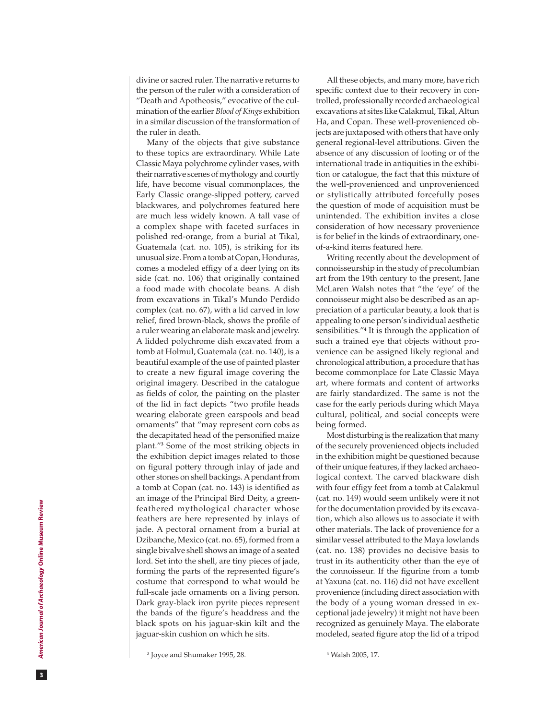divine or sacred ruler. The narrative returns to the person of the ruler with a consideration of "Death and Apotheosis," evocative of the cul mination of the earlier *Blood of Kings* exhibition in a similar discussion of the transformation of the ruler in death.

Many of the objects that give substance to these topics are extraordinary. While Late Classic Maya polychrome cylinder vases, with their narrative scenes of mythology and courtly life, have become visual commonplaces, the Early Classic orange-slipped pottery, carved blackwares, and polychromes featured here are much less widely known. A tall vase of a complex shape with faceted surfaces in polished red-orange, from a burial at Tikal, Guatemala (cat. no. 105), is striking for its unusual size. From a tomb at Copan, Honduras, comes a modeled effigy of a deer lying on its side (cat. no. 106) that originally contained a food made with chocolate beans. A dish from excavations in Tikal's Mundo Perdido complex (cat. no. 67), with a lid carved in low relief, fired brown-black, shows the profile of a ruler wearing an elaborate mask and jewelry. A lidded polychrome dish excavated from a tomb at Holmul, Guatemala (cat. no. 140), is a beautiful example of the use of painted plaster to create a new figural image covering the original imagery. Described in the catalogue as fields of color, the painting on the plaster of the lid in fact depicts "two profile heads wearing elaborate green earspools and bead ornaments" that "may represent corn cobs as the decapitated head of the personified maize plant."<sup>3</sup> Some of the most striking objects in the exhibition depict images related to those on figural pottery through inlay of jade and other stones on shell backings. A pendant from a tomb at Copan (cat. no. 143) is identified as an image of the Principal Bird Deity, a greenfeathered mythological character whose feathers are here represented by inlays of jade. A pectoral ornament from a burial at Dzibanche, Mexico (cat. no. 65), formed from a single bivalve shell shows an image of a seated lord. Set into the shell, are tiny pieces of jade, forming the parts of the represented figure's costume that correspond to what would be full-scale jade ornaments on a living person. Dark gray-black iron pyrite pieces represent the bands of the figure's headdress and the black spots on his jaguar-skin kilt and the jaguar-skin cushion on which he sits.

All these objects, and many more, have rich specific context due to their recovery in con trolled, professionally recorded archaeological excavations at sites like Calakmul, Tikal, Altun Ha, and Copan. These well-provenienced ob jects are juxtaposed with others that have only general regional-level attributions. Given the absence of any discussion of looting or of the international trade in antiquities in the exhibi tion or catalogue, the fact that this mixture of the well-provenienced and unprovenienced or stylistically attributed forcefully poses the question of mode of acquisition must be unintended. The exhibition invites a close consideration of how necessary provenience is for belief in the kinds of extraordinary, oneof-a-kind items featured here.

Writing recently about the development of connoisseurship in the study of precolumbian art from the 19th century to the present, Jane McLaren Walsh notes that "the 'eye' of the connoisseur might also be described as an ap preciation of a particular beauty, a look that is appealing to one person's individual aesthetic sensibilities."<sup>4</sup> It is through the application of such a trained eye that objects without pro venience can be assigned likely regional and chronological attribution, a procedure that has become commonplace for Late Classic Maya art, where formats and content of artworks are fairly standardized. The same is not the case for the early periods during which Maya cultural, political, and social concepts were being formed.

Most disturbing is the realization that many of the securely provenienced objects included in the exhibition might be questioned because of their unique features, if they lacked archaeo logical context. The carved blackware dish with four effigy feet from a tomb at Calakmul (cat. no. 149) would seem unlikely were it not for the documentation provided by its excava tion, which also allows us to associate it with other materials. The lack of provenience for a similar vessel attributed to the Maya lowlands (cat. no. 138) provides no decisive basis to trust in its authenticity other than the eye of the connoisseur. If the figurine from a tomb at Yaxuna (cat. no. 116) did not have excellent provenience (including direct association with the body of a young woman dressed in ex ceptional jade jewelry) it might not have been recognized as genuinely Maya. The elaborate modeled, seated figure atop the lid of a tripod

 $\overline{\mathbf{3}}$ 

<sup>3</sup> Joyce and Shumaker 1995, 28.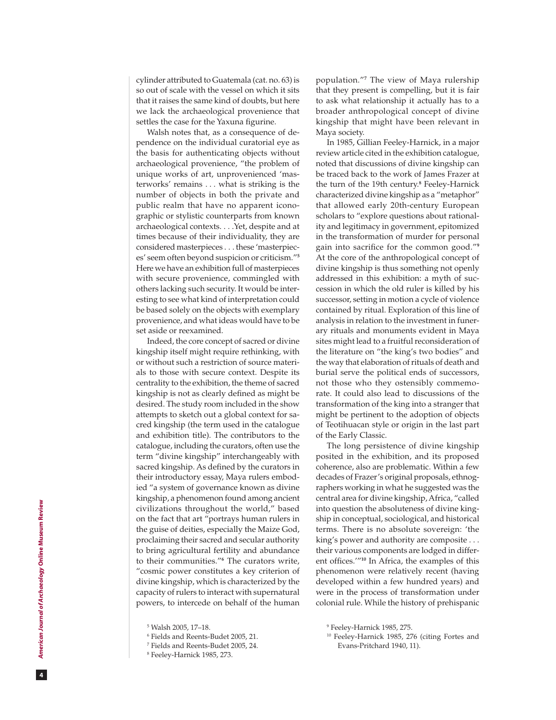cylinder attributed to Guatemala (cat. no. 63) is so out of scale with the vessel on which it sits that it raises the same kind of doubts, but here we lack the archaeological provenience that settles the case for the Yaxuna figurine.

Walsh notes that, as a consequence of de pendence on the individual curatorial eye as the basis for authenticating objects without archaeological provenience, "the problem of unique works of art, unprovenienced 'mas terworks' remains . . . what is striking is the number of objects in both the private and public realm that have no apparent icono graphic or stylistic counterparts from known archaeological contexts....Yet, despite and at times because of their individuality, they are considered masterpieces . . . these 'masterpiec es' seem often beyond suspicion or criticism." **5** Here we have an exhibition full of masterpieces with secure provenience, commingled with others lacking such security. It would be inter esting to see what kind of interpretation could be based solely on the objects with exemplary provenience, and what ideas would have to be set aside or reexamined.

Indeed, the core concept of sacred or divine kingship itself might require rethinking, with or without such a restriction of source materi als to those with secure context. Despite its centrality to the exhibition, the theme of sacred kingship is not as clearly defined as might be desired. The study room included in the show attempts to sketch out a global context for sa cred kingship (the term used in the catalogue and exhibition title). The contributors to the catalogue, including the curators, often use the term "divine kingship" interchangeably with sacred kingship. As defined by the curators in their introductory essay, Maya rulers embod ied "a system of governance known as divine kingship, a phenomenon found among ancient civilizations throughout the world," based on the fact that art "portrays human rulers in the guise of deities, especially the Maize God, proclaiming their sacred and secular authority to bring agricultural fertility and abundance to their communities." **6** The curators write, "cosmic power constitutes a key criterion of divine kingship, which is characterized by the capacity of rulers to interact with supernatural powers, to intercede on behalf of the human

population." **7** The view of Maya rulership that they present is compelling, but it is fair to ask what relationship it actually has to a broader anthropological concept of divine kingship that might have been relevant in Maya society.

In 1985, Gillian Feeley-Harnick, in a major review article cited in the exhibition catalogue, noted that discussions of divine kingship can be traced back to the work of James Frazer at the turn of the 19th century. **8** Feeley-Harnick characterized divine kingship as a "metaphor" that allowed early 20th-century European scholars to "explore questions about rational ity and legitimacy in government, epitomized in the transformation of murder for personal gain into sacrifice for the common good."**<sup>9</sup>** At the core of the anthropological concept of divine kingship is thus something not openly addressed in this exhibition: a myth of suc cession in which the old ruler is killed by his successor, setting in motion a cycle of violence contained by ritual. Exploration of this line of analysis in relation to the investment in funer ary rituals and monuments evident in Maya sites might lead to a fruitful reconsideration of the literature on "the king's two bodies" and the way that elaboration of rituals of death and burial serve the political ends of successors, not those who they ostensibly commemo rate. It could also lead to discussions of the transformation of the king into a stranger that might be pertinent to the adoption of objects of Teotihuacan style or origin in the last part of the Early Classic.

The long persistence of divine kingship posited in the exhibition, and its proposed coherence, also are problematic. Within a few decades of Frazer's original proposals, ethnog raphers working in what he suggested was the central area for divine kingship, Africa, "called into question the absoluteness of divine king ship in conceptual, sociological, and historical terms. There is no absolute sovereign: 'the king's power and authority are composite . . . their various components are lodged in differ ent offices.'"**<sup>10</sup>** In Africa, the examples of this phenomenon were relatively recent (having developed within a few hundred years) and were in the process of transformation under colonial rule. While the history of prehispanic

 $|4|$ 

<sup>5</sup> Walsh 2005, 17–18.

<sup>6</sup> Fields and Reents-Budet 2005, 21.

<sup>7</sup> Fields and Reents-Budet 2005, 24.

<sup>8</sup> Feeley-Harnick 1985, 273.

<sup>9</sup> Feeley-Harnick 1985, 275.

<sup>10</sup> Feeley-Harnick 1985, 276 (citing Fortes and Evans-Pritchard 1940, 11).